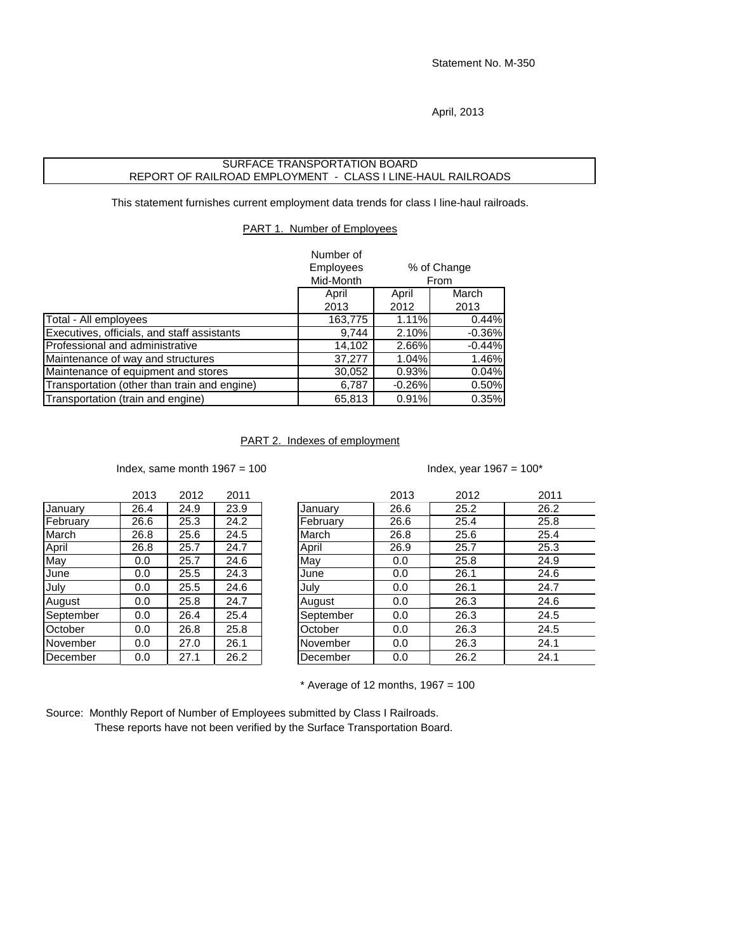Statement No. M-350

April, 2013

## SURFACE TRANSPORTATION BOARD REPORT OF RAILROAD EMPLOYMENT - CLASS I LINE-HAUL RAILROADS

This statement furnishes current employment data trends for class I line-haul railroads.

PART 1. Number of Employees

|                                              | Number of        |          |             |
|----------------------------------------------|------------------|----------|-------------|
|                                              | <b>Employees</b> |          | % of Change |
|                                              | Mid-Month        |          | From        |
|                                              | April            | April    | March       |
|                                              | 2013             | 2012     | 2013        |
| Total - All employees                        | 163,775          | 1.11%    | 0.44%       |
| Executives, officials, and staff assistants  | 9.744            | 2.10%    | $-0.36%$    |
| Professional and administrative              | 14,102           | 2.66%    | $-0.44%$    |
| Maintenance of way and structures            | 37,277           | 1.04%    | 1.46%       |
| Maintenance of equipment and stores          | 30,052           | 0.93%    | 0.04%       |
| Transportation (other than train and engine) | 6,787            | $-0.26%$ | 0.50%       |
| Transportation (train and engine)            | 65,813           | 0.91%    | 0.35%       |

## PART 2. Indexes of employment

Index, same month  $1967 = 100$  Index, year  $1967 = 100^*$ 

|           | 2013 | 2012 | 2011 |
|-----------|------|------|------|
| January   | 26.4 | 24.9 | 23.9 |
| February  | 26.6 | 25.3 | 24.2 |
| March     | 26.8 | 25.6 | 24.5 |
| April     | 26.8 | 25.7 | 24.7 |
| May       | 0.0  | 25.7 | 24.6 |
| June      | 0.0  | 25.5 | 24.3 |
| July      | 0.0  | 25.5 | 24.6 |
| August    | 0.0  | 25.8 | 24.7 |
| September | 0.0  | 26.4 | 25.4 |
| October   | 0.0  | 26.8 | 25.8 |
| November  | 0.0  | 27.0 | 26.1 |
| December  | 0.0  | 27.1 | 26.2 |

|           | 2013 | 2012 | 2011 |           | 2013 | 2012 | 2011 |  |
|-----------|------|------|------|-----------|------|------|------|--|
| January   | 26.4 | 24.9 | 23.9 | January   | 26.6 | 25.2 | 26.2 |  |
| February  | 26.6 | 25.3 | 24.2 | February  | 26.6 | 25.4 | 25.8 |  |
| March     | 26.8 | 25.6 | 24.5 | March     | 26.8 | 25.6 | 25.4 |  |
| April     | 26.8 | 25.7 | 24.7 | April     | 26.9 | 25.7 | 25.3 |  |
| May       | 0.0  | 25.7 | 24.6 | May       | 0.0  | 25.8 | 24.9 |  |
| June      | 0.0  | 25.5 | 24.3 | June      | 0.0  | 26.1 | 24.6 |  |
| July      | 0.0  | 25.5 | 24.6 | July      | 0.0  | 26.1 | 24.7 |  |
| August    | 0.0  | 25.8 | 24.7 | August    | 0.0  | 26.3 | 24.6 |  |
| September | 0.0  | 26.4 | 25.4 | September | 0.0  | 26.3 | 24.5 |  |
| October   | 0.0  | 26.8 | 25.8 | October   | 0.0  | 26.3 | 24.5 |  |
| November  | 0.0  | 27.0 | 26.1 | November  | 0.0  | 26.3 | 24.1 |  |
| December  | 0.0  | 27.1 | 26.2 | December  | 0.0  | 26.2 | 24.1 |  |
|           |      |      |      |           |      |      |      |  |

 $*$  Average of 12 months, 1967 = 100

Source: Monthly Report of Number of Employees submitted by Class I Railroads. These reports have not been verified by the Surface Transportation Board.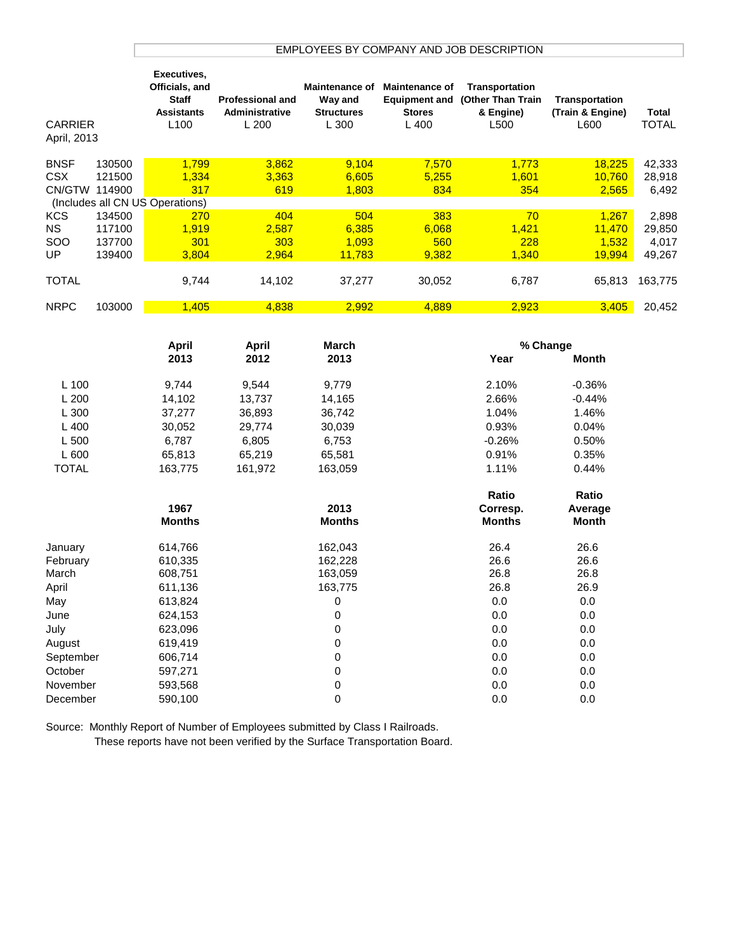## EMPLOYEES BY COMPANY AND JOB DESCRIPTION

| <b>CARRIER</b><br>April, 2013 |        | Executives,<br>Officials, and<br><b>Staff</b><br><b>Assistants</b><br>L <sub>100</sub> | <b>Professional and</b><br>Administrative<br>L200 | <b>Maintenance of</b><br>Way and<br><b>Structures</b><br>L 300 | <b>Maintenance of</b><br><b>Equipment and</b><br><b>Stores</b><br>$L$ 400 | <b>Transportation</b><br><b>(Other Than Train</b><br>& Engine)<br>L500 | Transportation<br>(Train & Engine)<br>L600 | Total<br>TOTAL |
|-------------------------------|--------|----------------------------------------------------------------------------------------|---------------------------------------------------|----------------------------------------------------------------|---------------------------------------------------------------------------|------------------------------------------------------------------------|--------------------------------------------|----------------|
| <b>BNSF</b>                   | 130500 | 1.799                                                                                  | 3.862                                             | 9,104                                                          | 7,570                                                                     | 1,773                                                                  | 18.225                                     | 42,333         |
| <b>CSX</b>                    | 121500 | 1.334                                                                                  | 3.363                                             | 6,605                                                          | 5.255                                                                     | 1.601                                                                  | 10.760                                     | 28,918         |
| CN/GTW                        | 114900 | 317                                                                                    | 619                                               | 1,803                                                          | 834                                                                       | 354                                                                    | 2,565                                      | 6,492          |
|                               |        | (Includes all CN US Operations)                                                        |                                                   |                                                                |                                                                           |                                                                        |                                            |                |
| <b>KCS</b>                    | 134500 | 270                                                                                    | 404                                               | 504                                                            | 383                                                                       | 70                                                                     | 1.267                                      | 2,898          |
| NS.                           | 117100 | 1.919                                                                                  | 2.587                                             | 6,385                                                          | 6,068                                                                     | 1,421                                                                  | 11.470                                     | 29,850         |
| <b>SOO</b>                    | 137700 | 301                                                                                    | 303                                               | 1.093                                                          | 560                                                                       | 228                                                                    | 1.532                                      | 4,017          |
| UP                            | 139400 | 3,804                                                                                  | 2,964                                             | 11.783                                                         | 9,382                                                                     | 1,340                                                                  | <u>19,994</u>                              | 49,267         |
| <b>TOTAL</b>                  |        | 9,744                                                                                  | 14,102                                            | 37,277                                                         | 30,052                                                                    | 6,787                                                                  | 65,813                                     | 163,775        |
| <b>NRPC</b>                   | 103000 | 1.405                                                                                  | 4.838                                             | 2,992                                                          | 4,889                                                                     | 2,923                                                                  | 3,405                                      | 20,452         |

|              | <b>April</b>  | <b>April</b> | <b>March</b>  |               | % Change     |  |
|--------------|---------------|--------------|---------------|---------------|--------------|--|
|              | 2013          | 2012         | 2013          | Year          | <b>Month</b> |  |
| $L$ 100      | 9,744         | 9,544        | 9,779         | 2.10%         | $-0.36%$     |  |
| L200         | 14,102        | 13,737       | 14,165        | 2.66%         | $-0.44%$     |  |
| L 300        | 37,277        | 36,893       | 36,742        | 1.04%         | 1.46%        |  |
| $L$ 400      | 30,052        | 29,774       | 30,039        | 0.93%         | 0.04%        |  |
| L 500        | 6,787         | 6,805        | 6,753         | $-0.26%$      | 0.50%        |  |
| L 600        | 65,813        | 65,219       | 65,581        | 0.91%         | 0.35%        |  |
| <b>TOTAL</b> | 163,775       | 161,972      | 163,059       | 1.11%         | 0.44%        |  |
|              |               |              |               | Ratio         | Ratio        |  |
|              | 1967          |              | 2013          | Corresp.      | Average      |  |
|              | <b>Months</b> |              | <b>Months</b> | <b>Months</b> | <b>Month</b> |  |
| January      | 614,766       |              | 162,043       | 26.4          | 26.6         |  |
| February     | 610,335       |              | 162,228       | 26.6          | 26.6         |  |
| March        | 608,751       |              | 163,059       | 26.8          | 26.8         |  |
| April        | 611,136       |              | 163,775       | 26.8          | 26.9         |  |
| May          | 613,824       |              | 0             | 0.0           | 0.0          |  |
| June         | 624,153       |              | 0             | 0.0           | 0.0          |  |
| July         | 623,096       |              | 0             | 0.0           | 0.0          |  |
| August       | 619,419       |              | 0             | 0.0           | 0.0          |  |
| September    | 606,714       |              | $\mathbf 0$   | 0.0           | 0.0          |  |
| October      | 597,271       |              | 0             | 0.0           | 0.0          |  |
| November     | 593,568       |              | $\pmb{0}$     | 0.0           | 0.0          |  |
| December     | 590,100       |              | 0             | 0.0           | 0.0          |  |

Source: Monthly Report of Number of Employees submitted by Class I Railroads.

These reports have not been verified by the Surface Transportation Board.